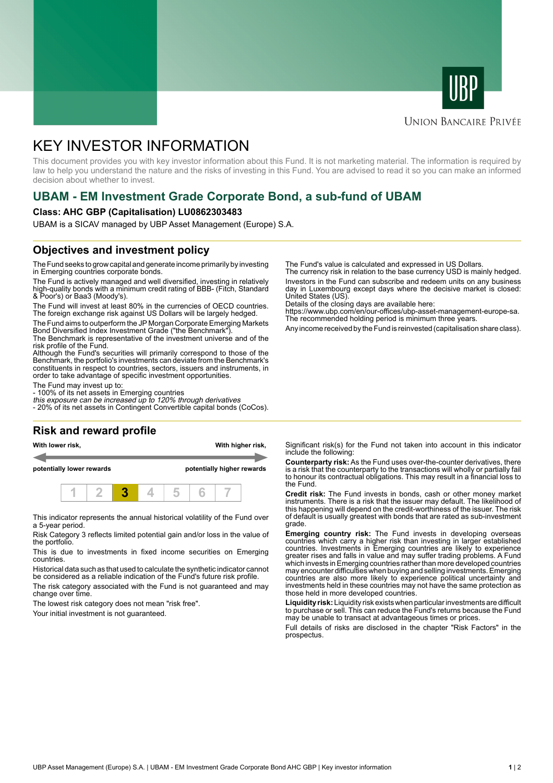



#### **UNION BANCAIRE PRIVÉE**

# KEY INVESTOR INFORMATION

This document provides you with key investor information about this Fund. It is not marketing material. The information is required by law to help you understand the nature and the risks of investing in this Fund. You are advised to read it so you can make an informed decision about whether to invest.

# **UBAM - EM Investment Grade Corporate Bond, a sub-fund of UBAM**

#### **Class: AHC GBP (Capitalisation) LU0862303483**

UBAM is a SICAV managed by UBP Asset Management (Europe) S.A.

## **Objectives and investment policy**

The Fund seeks to grow capital and generate income primarily by investing in Emerging countries corporate bonds.

The Fund is actively managed and well diversified, investing in relatively high-quality bonds with a minimum credit rating of BBB- (Fitch, Standard & Poor's) or Baa3 (Moody's).

The Fund will invest at least 80% in the currencies of OECD countries. The foreign exchange risk against US Dollars will be largely hedged.

The Fund aims to outperform the JP Morgan Corporate Emerging Markets Bond Diversified Index Investment Grade ("the Benchmark").

The Benchmark is representative of the investment universe and of the risk profile of the Fund.

Although the Fund's securities will primarily correspond to those of the Benchmark, the portfolio's investments can deviate from the Benchmark's constituents in respect to countries, sectors, issuers and instruments, in order to take advantage of specific investment opportunities.

The Fund may invest up to:

- 100% of its net assets in Emerging countries

this exposure can be increased up to 120% through derivatives - 20% of its net assets in Contingent Convertible capital bonds (CoCos).

## **Risk and reward profile**

**With lower risk, With higher risk,**

**potentially lower rewards potentially higher rewards**



This indicator represents the annual historical volatility of the Fund over a 5-year period.

Risk Category 3 reflects limited potential gain and/or loss in the value of the portfolio.

This is due to investments in fixed income securities on Emerging countries.

Historical data such as that used to calculate the synthetic indicator cannot be considered as a reliable indication of the Fund's future risk profile.

The risk category associated with the Fund is not guaranteed and may change over time.

The lowest risk category does not mean "risk free".

Your initial investment is not guaranteed.

The Fund's value is calculated and expressed in US Dollars.

The currency risk in relation to the base currency USD is mainly hedged. Investors in the Fund can subscribe and redeem units on any business day in Luxembourg except days where the decisive market is closed: United States (US).

Details of the closing days are available here:

https://www.ubp.com/en/our-offices/ubp-asset-management-europe-sa. The recommended holding period is minimum three years.

Any income received by the Fund is reinvested (capitalisation share class).

Significant risk(s) for the Fund not taken into account in this indicator include the following:

**Counterparty risk:** As the Fund uses over-the-counter derivatives, there is a risk that the counterparty to the transactions will wholly or partially fail to honour its contractual obligations. This may result in a financial loss to the Fund.

**Credit risk:** The Fund invests in bonds, cash or other money market instruments. There is a risk that the issuer may default. The likelihood of this happening will depend on the credit-worthiness of the issuer. The risk of default is usually greatest with bonds that are rated as sub-investment grade.

**Emerging country risk:** The Fund invests in developing overseas countries which carry a higher risk than investing in larger established countries. Investments in Emerging countries are likely to experience greater rises and falls in value and may suffer trading problems. A Fund which invests in Emerging countries rather than more developed countries may encounter difficulties when buying and selling investments. Emerging countries are also more likely to experience political uncertainty and investments held in these countries may not have the same protection as those held in more developed countries.

**Liquidity risk:** Liquidity risk exists when particular investments are difficult to purchase or sell. This can reduce the Fund's returns because the Fund may be unable to transact at advantageous times or prices.

Full details of risks are disclosed in the chapter "Risk Factors" in the prospectus.